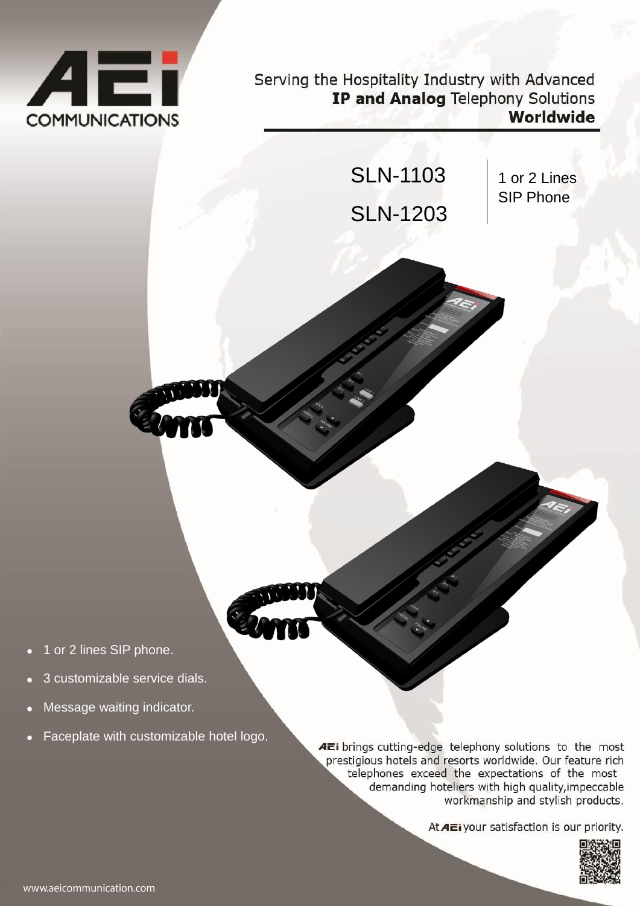

Serving the Hospitality Industry with Advanced IP and Analog Telephony Solutions Worldwide



- 
- 1 or 2 lines SIP phone.
- 3 customizable service dials.
- Message waiting indicator.
- Faceplate with customizable hotel logo.

AEi brings cutting-edge telephony solutions to the most prestigious hotels and resorts worldwide. Our feature rich telephones exceed the expectations of the most demanding hoteliers with high quality, impeccable workmanship and stylish products.

At AE i your satisfaction is our priority.